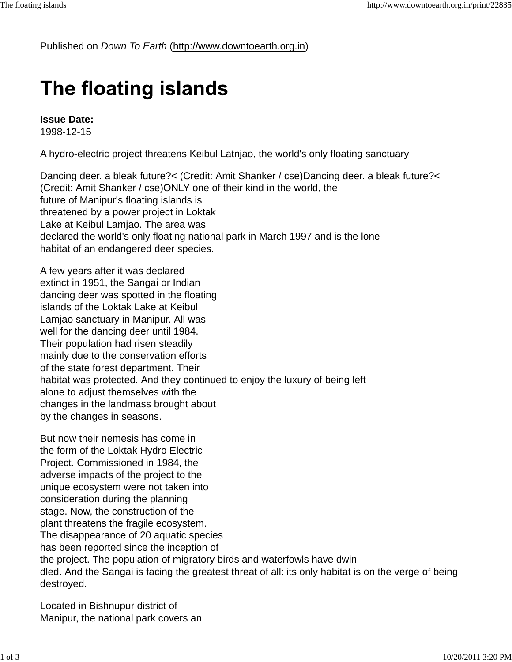Published on *Down To Earth* (http://www.downtoearth.org.in)

## The floating islands

**Issue Date:**  1998-12-15

A hydro-electric project threatens Keibul Latnjao, the world's only floating sanctuary

Dancing deer. a bleak future?< (Credit: Amit Shanker / cse)Dancing deer. a bleak future?< (Credit: Amit Shanker / cse)ONLY one of their kind in the world, the future of Manipur's floating islands is threatened by a power project in Loktak Lake at Keibul Lamjao. The area was declared the world's only floating national park in March 1997 and is the lone habitat of an endangered deer species.

A few years after it was declared extinct in 1951, the Sangai or Indian dancing deer was spotted in the floating islands of the Loktak Lake at Keibul Lamjao sanctuary in Manipur. All was well for the dancing deer until 1984. Their population had risen steadily mainly due to the conservation efforts of the state forest department. Their habitat was protected. And they continued to enjoy the luxury of being left alone to adjust themselves with the changes in the landmass brought about by the changes in seasons.

But now their nemesis has come in the form of the Loktak Hydro Electric Project. Commissioned in 1984, the adverse impacts of the project to the unique ecosystem were not taken into consideration during the planning stage. Now, the construction of the plant threatens the fragile ecosystem. The disappearance of 20 aquatic species has been reported since the inception of the project. The population of migratory birds and waterfowls have dwindled. And the Sangai is facing the greatest threat of all: its only habitat is on the verge of being destroyed.

Located in Bishnupur district of Manipur, the national park covers an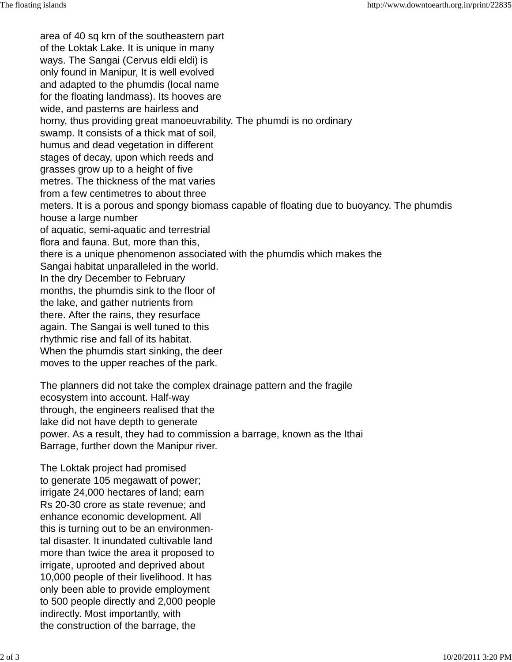area of 40 sq krn of the southeastern part of the Loktak Lake. It is unique in many ways. The Sangai (Cervus eldi eldi) is only found in Manipur, It is well evolved and adapted to the phumdis (local name for the floating landmass). Its hooves are wide, and pasterns are hairless and horny, thus providing great manoeuvrability. The phumdi is no ordinary swamp. It consists of a thick mat of soil, humus and dead vegetation in different stages of decay, upon which reeds and grasses grow up to a height of five metres. The thickness of the mat varies from a few centimetres to about three meters. It is a porous and spongy biomass capable of floating due to buoyancy. The phumdis house a large number of aquatic, semi-aquatic and terrestrial flora and fauna. But, more than this, there is a unique phenomenon associated with the phumdis which makes the Sangai habitat unparalleled in the world. In the dry December to February months, the phumdis sink to the floor of the lake, and gather nutrients from there. After the rains, they resurface again. The Sangai is well tuned to this rhythmic rise and fall of its habitat. When the phumdis start sinking, the deer moves to the upper reaches of the park.

The planners did not take the complex drainage pattern and the fragile ecosystem into account. Half-way through, the engineers realised that the lake did not have depth to generate power. As a result, they had to commission a barrage, known as the Ithai Barrage, further down the Manipur river.

The Loktak project had promised to generate 105 megawatt of power; irrigate 24,000 hectares of land; earn Rs 20-30 crore as state revenue; and enhance economic development. All this is turning out to be an environmental disaster. It inundated cultivable land more than twice the area it proposed to irrigate, uprooted and deprived about 10,000 people of their livelihood. It has only been able to provide employment to 500 people directly and 2,000 people indirectly. Most importantly, with the construction of the barrage, the